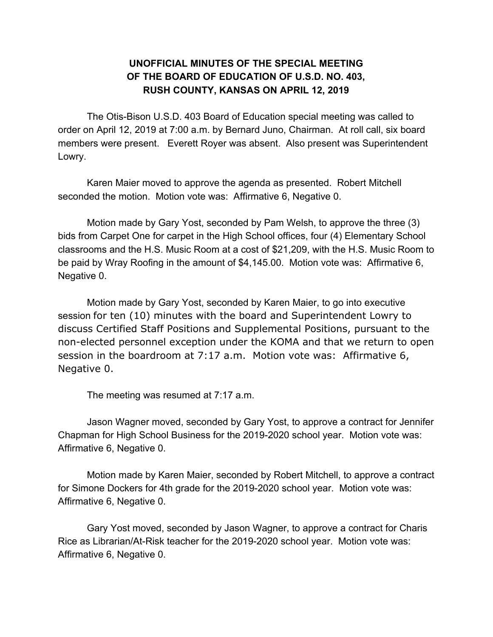## **UNOFFICIAL MINUTES OF THE SPECIAL MEETING OF THE BOARD OF EDUCATION OF U.S.D. NO. 403, RUSH COUNTY, KANSAS ON APRIL 12, 2019**

The Otis-Bison U.S.D. 403 Board of Education special meeting was called to order on April 12, 2019 at 7:00 a.m. by Bernard Juno, Chairman. At roll call, six board members were present. Everett Royer was absent. Also present was Superintendent Lowry.

Karen Maier moved to approve the agenda as presented. Robert Mitchell seconded the motion. Motion vote was: Affirmative 6, Negative 0.

Motion made by Gary Yost, seconded by Pam Welsh, to approve the three (3) bids from Carpet One for carpet in the High School offices, four (4) Elementary School classrooms and the H.S. Music Room at a cost of \$21,209, with the H.S. Music Room to be paid by Wray Roofing in the amount of \$4,145.00. Motion vote was: Affirmative 6, Negative 0.

Motion made by Gary Yost, seconded by Karen Maier, to go into executive session for ten (10) minutes with the board and Superintendent Lowry to discuss Certified Staff Positions and Supplemental Positions, pursuant to the non-elected personnel exception under the KOMA and that we return to open session in the boardroom at 7:17 a.m. Motion vote was: Affirmative 6, Negative 0.

The meeting was resumed at 7:17 a.m.

Jason Wagner moved, seconded by Gary Yost, to approve a contract for Jennifer Chapman for High School Business for the 2019-2020 school year. Motion vote was: Affirmative 6, Negative 0.

Motion made by Karen Maier, seconded by Robert Mitchell, to approve a contract for Simone Dockers for 4th grade for the 2019-2020 school year. Motion vote was: Affirmative 6, Negative 0.

Gary Yost moved, seconded by Jason Wagner, to approve a contract for Charis Rice as Librarian/At-Risk teacher for the 2019-2020 school year. Motion vote was: Affirmative 6, Negative 0.